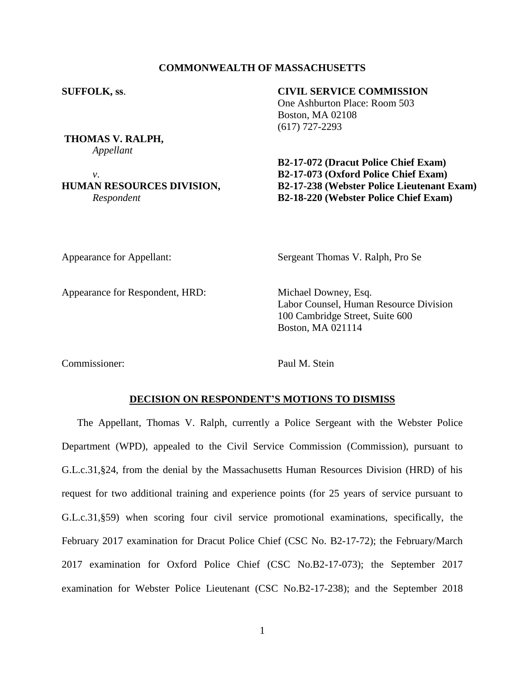## **COMMONWEALTH OF MASSACHUSETTS**

**THOMAS V. RALPH,** *Appellant*

### **SUFFOLK, ss**. **CIVIL SERVICE COMMISSION**

One Ashburton Place: Room 503 Boston, MA 02108 (617) 727-2293

**B2-17-072 (Dracut Police Chief Exam)** *v*. **B2-17-073 (Oxford Police Chief Exam) HUMAN RESOURCES DIVISION, B2-17-238 (Webster Police Lieutenant Exam)** *Respondent* **B2-18-220 (Webster Police Chief Exam)**

Appearance for Respondent, HRD: Michael Downey, Esq.

Appearance for Appellant: Sergeant Thomas V. Ralph, Pro Se

Labor Counsel, Human Resource Division 100 Cambridge Street, Suite 600 Boston, MA 021114

Commissioner: Paul M. Stein

#### **DECISION ON RESPONDENT'S MOTIONS TO DISMISS**

The Appellant, Thomas V. Ralph, currently a Police Sergeant with the Webster Police Department (WPD), appealed to the Civil Service Commission (Commission), pursuant to G.L.c.31,§24, from the denial by the Massachusetts Human Resources Division (HRD) of his request for two additional training and experience points (for 25 years of service pursuant to G.L.c.31,§59) when scoring four civil service promotional examinations, specifically, the February 2017 examination for Dracut Police Chief (CSC No. B2-17-72); the February/March 2017 examination for Oxford Police Chief (CSC No.B2-17-073); the September 2017 examination for Webster Police Lieutenant (CSC No.B2-17-238); and the September 2018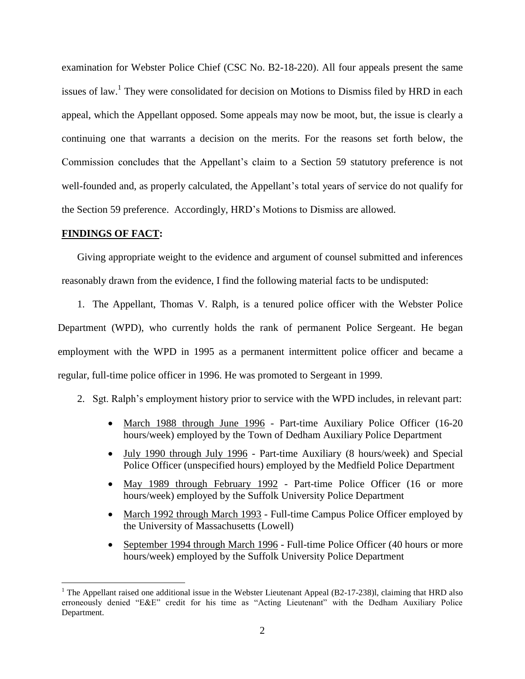examination for Webster Police Chief (CSC No. B2-18-220). All four appeals present the same issues of law.<sup>1</sup> They were consolidated for decision on Motions to Dismiss filed by HRD in each appeal, which the Appellant opposed. Some appeals may now be moot, but, the issue is clearly a continuing one that warrants a decision on the merits. For the reasons set forth below, the Commission concludes that the Appellant's claim to a Section 59 statutory preference is not well-founded and, as properly calculated, the Appellant's total years of service do not qualify for the Section 59 preference. Accordingly, HRD's Motions to Dismiss are allowed.

## **FINDINGS OF FACT:**

 $\overline{a}$ 

Giving appropriate weight to the evidence and argument of counsel submitted and inferences reasonably drawn from the evidence, I find the following material facts to be undisputed:

1. The Appellant, Thomas V. Ralph, is a tenured police officer with the Webster Police Department (WPD), who currently holds the rank of permanent Police Sergeant. He began employment with the WPD in 1995 as a permanent intermittent police officer and became a regular, full-time police officer in 1996. He was promoted to Sergeant in 1999.

- 2. Sgt. Ralph's employment history prior to service with the WPD includes, in relevant part:
	- March 1988 through June 1996 Part-time Auxiliary Police Officer (16-20) hours/week) employed by the Town of Dedham Auxiliary Police Department
	- July 1990 through July 1996 Part-time Auxiliary (8 hours/week) and Special Police Officer (unspecified hours) employed by the Medfield Police Department
	- May 1989 through February 1992 Part-time Police Officer (16 or more hours/week) employed by the Suffolk University Police Department
	- March 1992 through March 1993 Full-time Campus Police Officer employed by the University of Massachusetts (Lowell)
	- September 1994 through March 1996 Full-time Police Officer (40 hours or more hours/week) employed by the Suffolk University Police Department

<sup>&</sup>lt;sup>1</sup> The Appellant raised one additional issue in the Webster Lieutenant Appeal (B2-17-238)l, claiming that HRD also erroneously denied "E&E" credit for his time as "Acting Lieutenant" with the Dedham Auxiliary Police Department.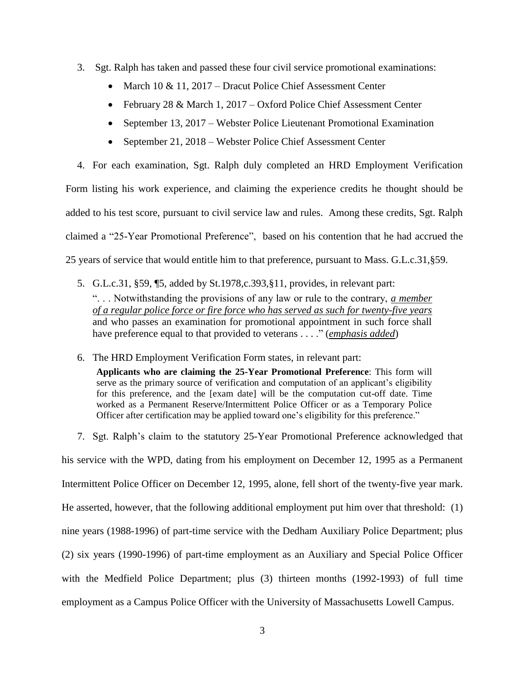- 3. Sgt. Ralph has taken and passed these four civil service promotional examinations:
	- March 10  $& 11, 2017$  Dracut Police Chief Assessment Center
	- February 28 & March 1, 2017 Oxford Police Chief Assessment Center
	- September 13, 2017 Webster Police Lieutenant Promotional Examination
	- September 21, 2018 Webster Police Chief Assessment Center

4. For each examination, Sgt. Ralph duly completed an HRD Employment Verification Form listing his work experience, and claiming the experience credits he thought should be added to his test score, pursuant to civil service law and rules. Among these credits, Sgt. Ralph claimed a "25-Year Promotional Preference", based on his contention that he had accrued the 25 years of service that would entitle him to that preference, pursuant to Mass. G.L.c.31,§59.

- 5. G.L.c.31, §59, ¶5, added by St.1978,c.393,§11, provides, in relevant part: ". . . Notwithstanding the provisions of any law or rule to the contrary, *a member of a regular police force or fire force who has served as such for twenty-five years* and who passes an examination for promotional appointment in such force shall have preference equal to that provided to veterans . . . ." (*emphasis added*)
- 6. The HRD Employment Verification Form states, in relevant part:

**Applicants who are claiming the 25-Year Promotional Preference**: This form will serve as the primary source of verification and computation of an applicant's eligibility for this preference, and the [exam date] will be the computation cut-off date. Time worked as a Permanent Reserve/Intermittent Police Officer or as a Temporary Police Officer after certification may be applied toward one's eligibility for this preference."

7. Sgt. Ralph's claim to the statutory 25-Year Promotional Preference acknowledged that his service with the WPD, dating from his employment on December 12, 1995 as a Permanent Intermittent Police Officer on December 12, 1995, alone, fell short of the twenty-five year mark. He asserted, however, that the following additional employment put him over that threshold: (1) nine years (1988-1996) of part-time service with the Dedham Auxiliary Police Department; plus (2) six years (1990-1996) of part-time employment as an Auxiliary and Special Police Officer with the Medfield Police Department; plus (3) thirteen months (1992-1993) of full time employment as a Campus Police Officer with the University of Massachusetts Lowell Campus.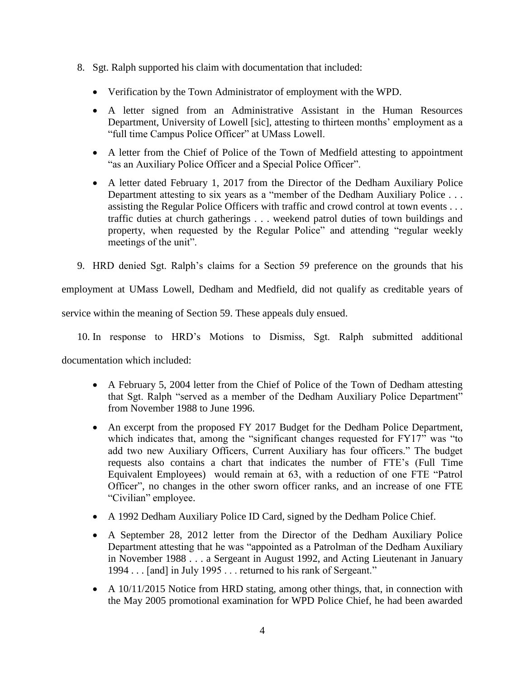- 8. Sgt. Ralph supported his claim with documentation that included:
	- Verification by the Town Administrator of employment with the WPD.
	- A letter signed from an Administrative Assistant in the Human Resources Department, University of Lowell [sic], attesting to thirteen months' employment as a "full time Campus Police Officer" at UMass Lowell.
	- A letter from the Chief of Police of the Town of Medfield attesting to appointment "as an Auxiliary Police Officer and a Special Police Officer".
	- A letter dated February 1, 2017 from the Director of the Dedham Auxiliary Police Department attesting to six years as a "member of the Dedham Auxiliary Police . . . assisting the Regular Police Officers with traffic and crowd control at town events . . . traffic duties at church gatherings . . . weekend patrol duties of town buildings and property, when requested by the Regular Police" and attending "regular weekly meetings of the unit".
- 9. HRD denied Sgt. Ralph's claims for a Section 59 preference on the grounds that his

employment at UMass Lowell, Dedham and Medfield, did not qualify as creditable years of

service within the meaning of Section 59. These appeals duly ensued.

10. In response to HRD's Motions to Dismiss, Sgt. Ralph submitted additional

documentation which included:

- A February 5, 2004 letter from the Chief of Police of the Town of Dedham attesting that Sgt. Ralph "served as a member of the Dedham Auxiliary Police Department" from November 1988 to June 1996.
- An excerpt from the proposed FY 2017 Budget for the Dedham Police Department, which indicates that, among the "significant changes requested for FY17" was "to add two new Auxiliary Officers, Current Auxiliary has four officers." The budget requests also contains a chart that indicates the number of FTE's (Full Time Equivalent Employees) would remain at 63, with a reduction of one FTE "Patrol Officer", no changes in the other sworn officer ranks, and an increase of one FTE "Civilian" employee.
- A 1992 Dedham Auxiliary Police ID Card, signed by the Dedham Police Chief.
- A September 28, 2012 letter from the Director of the Dedham Auxiliary Police Department attesting that he was "appointed as a Patrolman of the Dedham Auxiliary in November 1988 . . . a Sergeant in August 1992, and Acting Lieutenant in January 1994 . . . [and] in July 1995 . . . returned to his rank of Sergeant."
- A 10/11/2015 Notice from HRD stating, among other things, that, in connection with the May 2005 promotional examination for WPD Police Chief, he had been awarded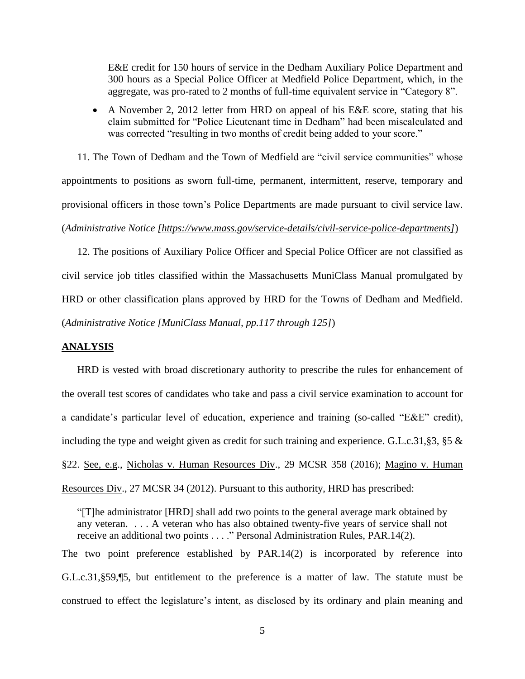E&E credit for 150 hours of service in the Dedham Auxiliary Police Department and 300 hours as a Special Police Officer at Medfield Police Department, which, in the aggregate, was pro-rated to 2 months of full-time equivalent service in "Category 8".

 A November 2, 2012 letter from HRD on appeal of his E&E score, stating that his claim submitted for "Police Lieutenant time in Dedham" had been miscalculated and was corrected "resulting in two months of credit being added to your score."

11. The Town of Dedham and the Town of Medfield are "civil service communities" whose appointments to positions as sworn full-time, permanent, intermittent, reserve, temporary and provisional officers in those town's Police Departments are made pursuant to civil service law. (*Administrative Notice [https://www.mass.gov/service-details/civil-service-police-departments]*)

12. The positions of Auxiliary Police Officer and Special Police Officer are not classified as civil service job titles classified within the Massachusetts MuniClass Manual promulgated by HRD or other classification plans approved by HRD for the Towns of Dedham and Medfield. (*Administrative Notice [MuniClass Manual, pp.117 through 125]*)

## **ANALYSIS**

HRD is vested with broad discretionary authority to prescribe the rules for enhancement of the overall test scores of candidates who take and pass a civil service examination to account for a candidate's particular level of education, experience and training (so-called "E&E" credit), including the type and weight given as credit for such training and experience. G.L.c.31,§3, §5 & §22. See, e.g., Nicholas v. Human Resources Div., 29 MCSR 358 (2016); Magino v. Human Resources Div., 27 MCSR 34 (2012). Pursuant to this authority, HRD has prescribed:

"[T]he administrator [HRD] shall add two points to the general average mark obtained by any veteran. . . . A veteran who has also obtained twenty-five years of service shall not receive an additional two points . . . ." Personal Administration Rules, PAR.14(2).

The two point preference established by PAR.14(2) is incorporated by reference into G.L.c.31,§59,¶5, but entitlement to the preference is a matter of law. The statute must be construed to effect the legislature's intent, as disclosed by its ordinary and plain meaning and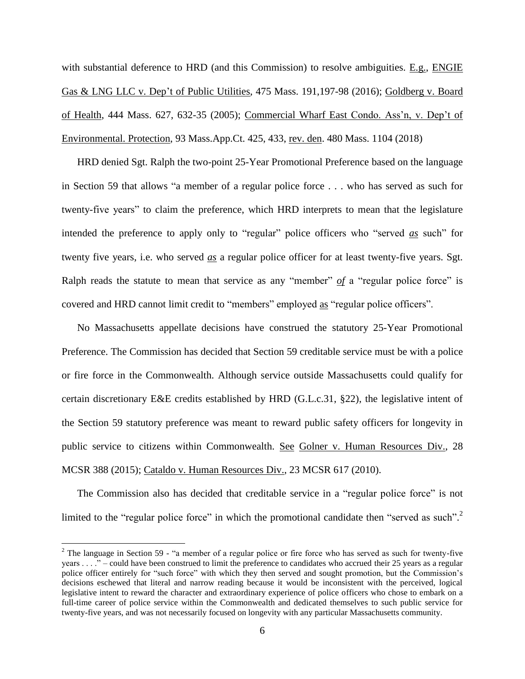with substantial deference to HRD (and this Commission) to resolve ambiguities. E.g., ENGIE Gas & LNG LLC v. Dep't of Public Utilities, 475 Mass. 191,197-98 (2016); Goldberg v. Board of Health, 444 Mass. 627, 632-35 (2005); Commercial Wharf East Condo. Ass'n, v. Dep't of Environmental. Protection, 93 Mass.App.Ct. 425, 433, rev. den. 480 Mass. 1104 (2018)

HRD denied Sgt. Ralph the two-point 25-Year Promotional Preference based on the language in Section 59 that allows "a member of a regular police force . . . who has served as such for twenty-five years" to claim the preference, which HRD interprets to mean that the legislature intended the preference to apply only to "regular" police officers who "served *as* such" for twenty five years, i.e. who served *as* a regular police officer for at least twenty-five years. Sgt. Ralph reads the statute to mean that service as any "member" *of* a "regular police force" is covered and HRD cannot limit credit to "members" employed as "regular police officers".

No Massachusetts appellate decisions have construed the statutory 25-Year Promotional Preference. The Commission has decided that Section 59 creditable service must be with a police or fire force in the Commonwealth. Although service outside Massachusetts could qualify for certain discretionary E&E credits established by HRD (G.L.c.31, §22), the legislative intent of the Section 59 statutory preference was meant to reward public safety officers for longevity in public service to citizens within Commonwealth. See Golner v. Human Resources Div., 28 MCSR 388 (2015); Cataldo v. Human Resources Div., 23 MCSR 617 (2010).

The Commission also has decided that creditable service in a "regular police force" is not limited to the "regular police force" in which the promotional candidate then "served as such".<sup>2</sup>

 $\overline{a}$ 

<sup>&</sup>lt;sup>2</sup> The language in Section 59 - "a member of a regular police or fire force who has served as such for twenty-five years . . . ." – could have been construed to limit the preference to candidates who accrued their 25 years as a regular police officer entirely for "such force" with which they then served and sought promotion, but the Commission's decisions eschewed that literal and narrow reading because it would be inconsistent with the perceived, logical legislative intent to reward the character and extraordinary experience of police officers who chose to embark on a full-time career of police service within the Commonwealth and dedicated themselves to such public service for twenty-five years, and was not necessarily focused on longevity with any particular Massachusetts community.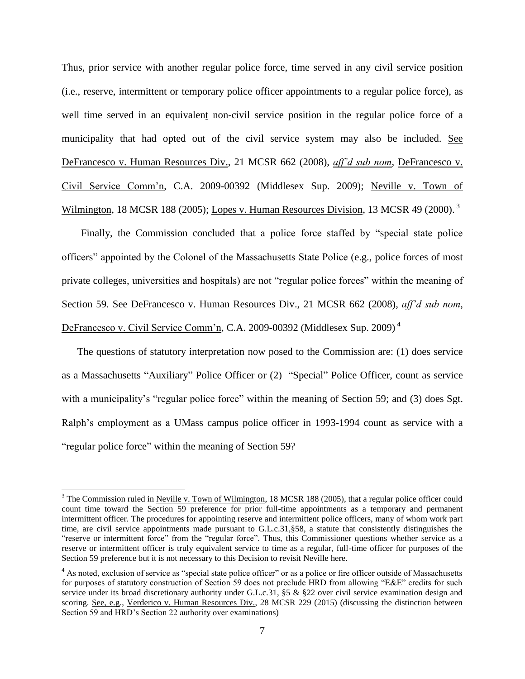Thus, prior service with another regular police force, time served in any civil service position (i.e., reserve, intermittent or temporary police officer appointments to a regular police force), as well time served in an equivalent non-civil service position in the regular police force of a municipality that had opted out of the civil service system may also be included. See DeFrancesco v. Human Resources Div., 21 MCSR 662 (2008), *aff'd sub nom*, DeFrancesco v. Civil Service Comm'n, C.A. 2009-00392 (Middlesex Sup. 2009); Neville v. Town of Wilmington, 18 MCSR 188 (2005); Lopes v. Human Resources Division, 13 MCSR 49 (2000).<sup>3</sup>

Finally, the Commission concluded that a police force staffed by "special state police officers" appointed by the Colonel of the Massachusetts State Police (e.g., police forces of most private colleges, universities and hospitals) are not "regular police forces" within the meaning of Section 59. See DeFrancesco v. Human Resources Div., 21 MCSR 662 (2008), *aff'd sub nom*, DeFrancesco v. Civil Service Comm'n, C.A. 2009-00392 (Middlesex Sup. 2009) <sup>4</sup>

The questions of statutory interpretation now posed to the Commission are: (1) does service as a Massachusetts "Auxiliary" Police Officer or (2) "Special" Police Officer, count as service with a municipality's "regular police force" within the meaning of Section 59; and (3) does Sgt. Ralph's employment as a UMass campus police officer in 1993-1994 count as service with a "regular police force" within the meaning of Section 59?

 $\overline{a}$ 

 $3$  The Commission ruled in Neville v. Town of Wilmington, 18 MCSR 188 (2005), that a regular police officer could count time toward the Section 59 preference for prior full-time appointments as a temporary and permanent intermittent officer. The procedures for appointing reserve and intermittent police officers, many of whom work part time, are civil service appointments made pursuant to G.L.c.31,§58, a statute that consistently distinguishes the "reserve or intermittent force" from the "regular force". Thus, this Commissioner questions whether service as a reserve or intermittent officer is truly equivalent service to time as a regular, full-time officer for purposes of the Section 59 preference but it is not necessary to this Decision to revisit Neville here.

<sup>&</sup>lt;sup>4</sup> As noted, exclusion of service as "special state police officer" or as a police or fire officer outside of Massachusetts for purposes of statutory construction of Section 59 does not preclude HRD from allowing "E&E" credits for such service under its broad discretionary authority under G.L.c.31, §5 & §22 over civil service examination design and scoring. <u>See, e.g., Verderico v. Human Resources Div.</u>, 28 MCSR 229 (2015) (discussing the distinction between Section 59 and HRD's Section 22 authority over examinations)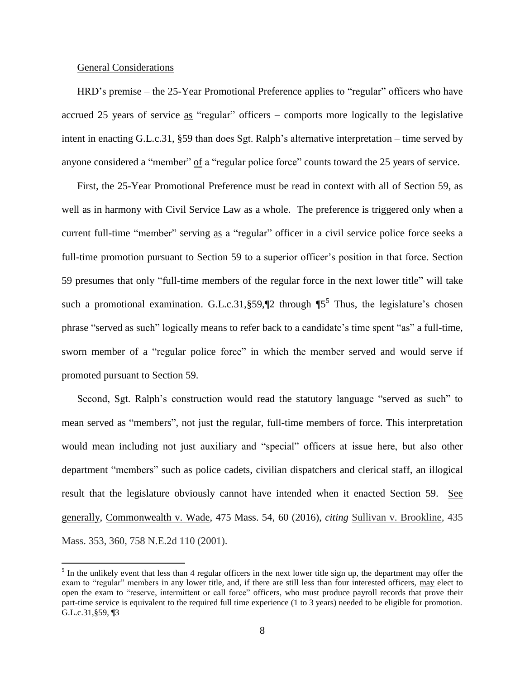## General Considerations

 $\overline{a}$ 

HRD's premise – the 25-Year Promotional Preference applies to "regular" officers who have accrued 25 years of service as "regular" officers – comports more logically to the legislative intent in enacting G.L.c.31, §59 than does Sgt. Ralph's alternative interpretation – time served by anyone considered a "member" of a "regular police force" counts toward the 25 years of service.

First, the 25-Year Promotional Preference must be read in context with all of Section 59, as well as in harmony with Civil Service Law as a whole. The preference is triggered only when a current full-time "member" serving as a "regular" officer in a civil service police force seeks a full-time promotion pursuant to Section 59 to a superior officer's position in that force. Section 59 presumes that only "full-time members of the regular force in the next lower title" will take such a promotional examination. G.L.c.31, §59,  $\llbracket 2$  through  $\llbracket 5^5$  Thus, the legislature's chosen phrase "served as such" logically means to refer back to a candidate's time spent "as" a full-time, sworn member of a "regular police force" in which the member served and would serve if promoted pursuant to Section 59.

Second, Sgt. Ralph's construction would read the statutory language "served as such" to mean served as "members", not just the regular, full-time members of force. This interpretation would mean including not just auxiliary and "special" officers at issue here, but also other department "members" such as police cadets, civilian dispatchers and clerical staff, an illogical result that the legislature obviously cannot have intended when it enacted Section 59. See generally, Commonwealth v. Wade, 475 Mass. 54, 60 (2016), *citing* [Sullivan v. Brookline](https://1.next.westlaw.com/Link/Document/FullText?findType=Y&serNum=2001955395&pubNum=0000578&originatingDoc=Iefe71845559011e6a807ad48145ed9f1&refType=RP&originationContext=document&transitionType=DocumentItem&contextData=(sc.Keycite))*,* 435 [Mass. 353, 360, 758 N.E.2d 110 \(2001\).](https://1.next.westlaw.com/Link/Document/FullText?findType=Y&serNum=2001955395&pubNum=0000578&originatingDoc=Iefe71845559011e6a807ad48145ed9f1&refType=RP&originationContext=document&transitionType=DocumentItem&contextData=(sc.Keycite))

 $<sup>5</sup>$  In the unlikely event that less than 4 regular officers in the next lower title sign up, the department  $\frac{may}{may}$  offer the</sup> exam to "regular" members in any lower title, and, if there are still less than four interested officers, may elect to open the exam to "reserve, intermittent or call force" officers, who must produce payroll records that prove their part-time service is equivalent to the required full time experience (1 to 3 years) needed to be eligible for promotion. G.L.c.31,§59, ¶3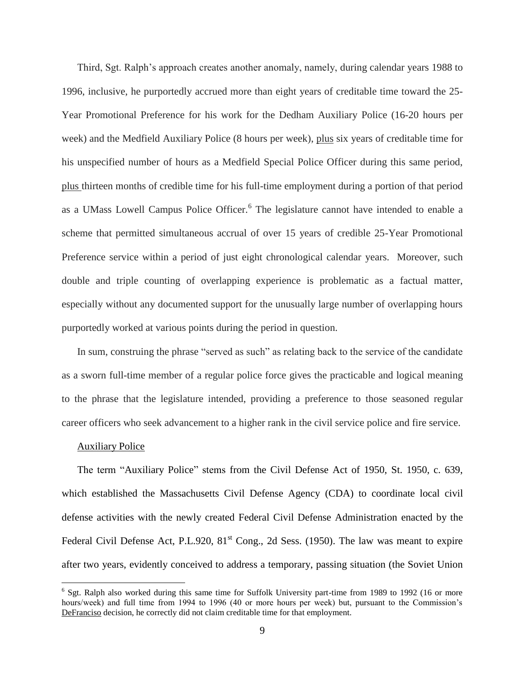Third, Sgt. Ralph's approach creates another anomaly, namely, during calendar years 1988 to 1996, inclusive, he purportedly accrued more than eight years of creditable time toward the 25- Year Promotional Preference for his work for the Dedham Auxiliary Police (16-20 hours per week) and the Medfield Auxiliary Police (8 hours per week), plus six years of creditable time for his unspecified number of hours as a Medfield Special Police Officer during this same period, plus thirteen months of credible time for his full-time employment during a portion of that period as a UMass Lowell Campus Police Officer.<sup>6</sup> The legislature cannot have intended to enable a scheme that permitted simultaneous accrual of over 15 years of credible 25-Year Promotional Preference service within a period of just eight chronological calendar years. Moreover, such double and triple counting of overlapping experience is problematic as a factual matter, especially without any documented support for the unusually large number of overlapping hours purportedly worked at various points during the period in question.

In sum, construing the phrase "served as such" as relating back to the service of the candidate as a sworn full-time member of a regular police force gives the practicable and logical meaning to the phrase that the legislature intended, providing a preference to those seasoned regular career officers who seek advancement to a higher rank in the civil service police and fire service.

#### Auxiliary Police

 $\overline{a}$ 

The term "Auxiliary Police" stems from the Civil Defense Act of 1950, St. 1950, c. 639, which established the Massachusetts Civil Defense Agency (CDA) to coordinate local civil defense activities with the newly created Federal Civil Defense Administration enacted by the Federal Civil Defense Act, P.L.920,  $81<sup>st</sup>$  Cong., 2d Sess. (1950). The law was meant to expire after two years, evidently conceived to address a temporary, passing situation (the Soviet Union

<sup>&</sup>lt;sup>6</sup> Sgt. Ralph also worked during this same time for Suffolk University part-time from 1989 to 1992 (16 or more hours/week) and full time from 1994 to 1996 (40 or more hours per week) but, pursuant to the Commission's DeFranciso decision, he correctly did not claim creditable time for that employment.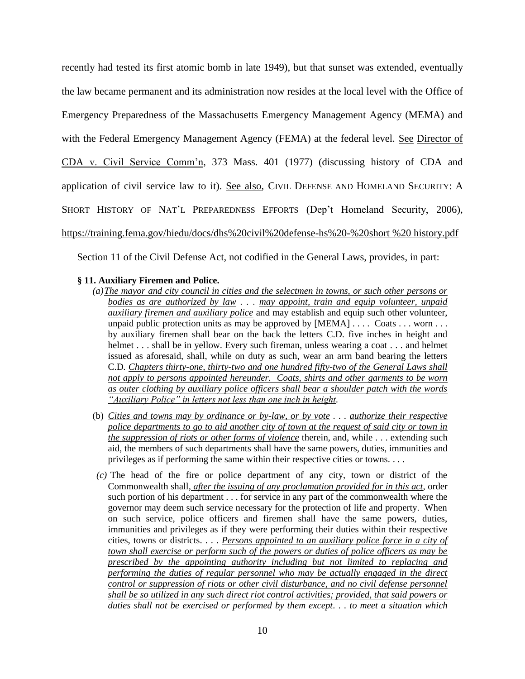recently had tested its first atomic bomb in late 1949), but that sunset was extended, eventually the law became permanent and its administration now resides at the local level with the Office of Emergency Preparedness of the Massachusetts Emergency Management Agency (MEMA) and with the Federal Emergency Management Agency (FEMA) at the federal level. See Director of CDA v. Civil Service Comm'n, 373 Mass. 401 (1977) (discussing history of CDA and application of civil service law to it). See also, CIVIL DEFENSE AND HOMELAND SECURITY: A SHORT HISTORY OF NAT'L PREPAREDNESS EFFORTS (Dep't Homeland Security, 2006), [https://training.fema.gov/hiedu/docs/dhs%20civil%20defense-hs%20-%20short %20 history.pdf](https://training.fema.gov/hiedu/docs/dhs%20civil%20defense-hs%20-%20short%20%20%20history.pdf)

Section 11 of the Civil Defense Act, not codified in the General Laws, provides, in part:

# **§ 11. Auxiliary Firemen and Police.**

- *(a)The mayor and city council in cities and the selectmen in towns, or such other persons or bodies as are authorized by law . . . may appoint, train and equip volunteer, unpaid auxiliary firemen and auxiliary police* and may establish and equip such other volunteer, unpaid public protection units as may be approved by  $[MEMA] \dots$  Coats  $\dots$  worn  $\dots$ by auxiliary firemen shall bear on the back the letters C.D. five inches in height and helmet . . . shall be in yellow. Every such fireman, unless wearing a coat . . . and helmet issued as aforesaid, shall, while on duty as such, wear an arm band bearing the letters C.D*. Chapters thirty-one, thirty-two and one hundred fifty-two of the General Laws shall not apply to persons appointed hereunder. Coats, shirts and other garments to be worn as outer clothing by auxiliary police officers shall bear a shoulder patch with the words "Auxiliary Police" in letters not less than one inch in height.*
- (b) *Cities and towns may by ordinance or by-law, or by vote . . . authorize their respective police departments to go to aid another city of town at the request of said city or town in the suppression of riots or other forms of violence* therein, and, while . . . extending such aid, the members of such departments shall have the same powers, duties, immunities and privileges as if performing the same within their respective cities or towns. . . .
- *(c)* The head of the fire or police department of any city, town or district of the Commonwealth shall, *after the issuing of any proclamation provided for in this act*, order such portion of his department . . . for service in any part of the commonwealth where the governor may deem such service necessary for the protection of life and property. When on such service, police officers and firemen shall have the same powers, duties, immunities and privileges as if they were performing their duties within their respective cities, towns or districts. . . . *Persons appointed to an auxiliary police force in a city of town shall exercise or perform such of the powers or duties of police officers as may be prescribed by the appointing authority including but not limited to replacing and performing the duties of regular personnel who may be actually engaged in the direct control or suppression of riots or other civil disturbance, and no civil defense personnel shall be so utilized in any such direct riot control activities; provided, that said powers or duties shall not be exercised or performed by them except. . . to meet a situation which*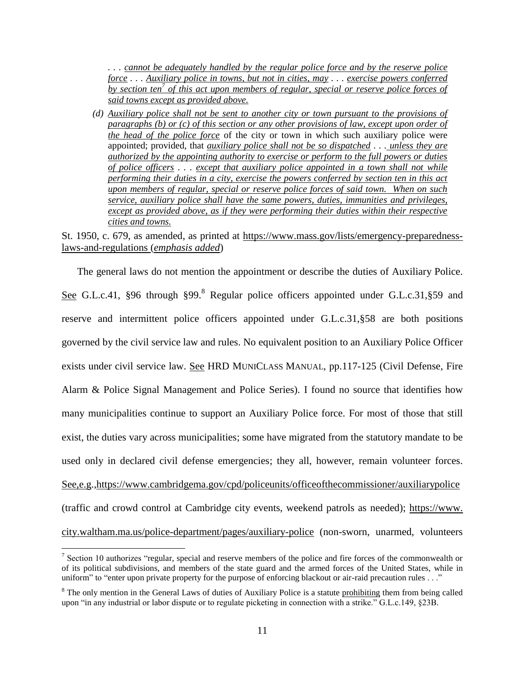*. . . cannot be adequately handled by the regular police force and by the reserve police force . . . Auxiliary police in towns, but not in cities, may . . . exercise powers conferred by section ten<sup>7</sup> of this act upon members of regular, special or reserve police forces of said towns except as provided above.*

*(d) Auxiliary police shall not be sent to another city or town pursuant to the provisions of paragraphs (b) or (c) of this section or any other provisions of law, except upon order of the head of the police force* of the city or town in which such auxiliary police were appointed; provided, that *auxiliary police shall not be so dispatched . . . unless they are authorized by the appointing authority to exercise or perform to the full powers or duties of police officers . . . except that auxiliary police appointed in a town shall not while performing their duties in a city, exercise the powers conferred by section ten in this act upon members of regular, special or reserve police forces of said town. When on such service, auxiliary police shall have the same powers, duties, immunities and privileges, except as provided above, as if they were performing their duties within their respective cities and towns.*

# St. 1950, c. 679, as amended, as printed at [https://www.mass.gov/lists/emergency-preparedness](https://www.mass.gov/lists/emergency-preparedness-laws-and-regulations)[laws-and-regulations](https://www.mass.gov/lists/emergency-preparedness-laws-and-regulations) (*emphasis added*)

The general laws do not mention the appointment or describe the duties of Auxiliary Police. See G.L.c.41, §96 through §99.<sup>8</sup> Regular police officers appointed under G.L.c.31,§59 and reserve and intermittent police officers appointed under G.L.c.31,§58 are both positions governed by the civil service law and rules. No equivalent position to an Auxiliary Police Officer exists under civil service law. See HRD MUNICLASS MANUAL, pp.117-125 (Civil Defense, Fire Alarm & Police Signal Management and Police Series). I found no source that identifies how many municipalities continue to support an Auxiliary Police force. For most of those that still exist, the duties vary across municipalities; some have migrated from the statutory mandate to be used only in declared civil defense emergencies; they all, however, remain volunteer forces. See,e.g.[,https://www.cambridgema.gov/cpd/policeunits/officeofthecommissioner/auxiliarypolice](https://www.cambridgema.gov/cpd/policeunits/officeofthecommissioner/auxiliarypolice) (traffic and crowd control at Cambridge city events, weekend patrols as needed); https://www. city.waltham.ma.us/police-department/pages/auxiliary-police (non-sworn, unarmed, volunteers

 $\overline{a}$ <sup>7</sup> Section 10 authorizes "regular, special and reserve members of the police and fire forces of the commonwealth or of its political subdivisions, and members of the state guard and the armed forces of the United States, while in uniform" to "enter upon private property for the purpose of enforcing blackout or air-raid precaution rules . . ."

<sup>&</sup>lt;sup>8</sup> The only mention in the General Laws of duties of Auxiliary Police is a statute prohibiting them from being called upon "in any industrial or labor dispute or to regulate picketing in connection with a strike." G.L.c.149, §23B.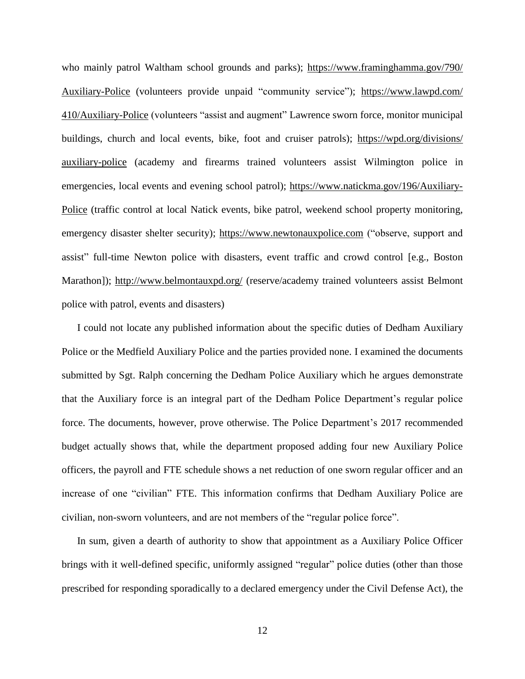who mainly patrol Waltham school grounds and parks); [https://www.framinghamma.gov/790/](https://www.framinghamma.gov/790/%20Auxiliary-Police)  [Auxiliary-Police](https://www.framinghamma.gov/790/%20Auxiliary-Police) (volunteers provide unpaid "community service"); [https://www.lawpd.com/](https://www.lawpd.com/%20410/Auxiliary-Police)  [410/Auxiliary-Police](https://www.lawpd.com/%20410/Auxiliary-Police) (volunteers "assist and augment" Lawrence sworn force, monitor municipal buildings, church and local events, bike, foot and cruiser patrols); [https://wpd.org/divisions/](https://wpd.org/divisions/%20auxiliary-police)  [auxiliary-police](https://wpd.org/divisions/%20auxiliary-police) (academy and firearms trained volunteers assist Wilmington police in emergencies, local events and evening school patrol); [https://www.natickma.gov/196/Auxiliary-](https://www.natickma.gov/196/Auxiliary-Police)[Police](https://www.natickma.gov/196/Auxiliary-Police) (traffic control at local Natick events, bike patrol, weekend school property monitoring, emergency disaster shelter security); [https://www.newtonauxpolice.com](https://www.newtonauxpolice.com/) ("observe, support and assist" full-time Newton police with disasters, event traffic and crowd control [e.g., Boston Marathon]); <http://www.belmontauxpd.org/> (reserve/academy trained volunteers assist Belmont police with patrol, events and disasters)

I could not locate any published information about the specific duties of Dedham Auxiliary Police or the Medfield Auxiliary Police and the parties provided none. I examined the documents submitted by Sgt. Ralph concerning the Dedham Police Auxiliary which he argues demonstrate that the Auxiliary force is an integral part of the Dedham Police Department's regular police force. The documents, however, prove otherwise. The Police Department's 2017 recommended budget actually shows that, while the department proposed adding four new Auxiliary Police officers, the payroll and FTE schedule shows a net reduction of one sworn regular officer and an increase of one "civilian" FTE. This information confirms that Dedham Auxiliary Police are civilian, non-sworn volunteers, and are not members of the "regular police force".

In sum, given a dearth of authority to show that appointment as a Auxiliary Police Officer brings with it well-defined specific, uniformly assigned "regular" police duties (other than those prescribed for responding sporadically to a declared emergency under the Civil Defense Act), the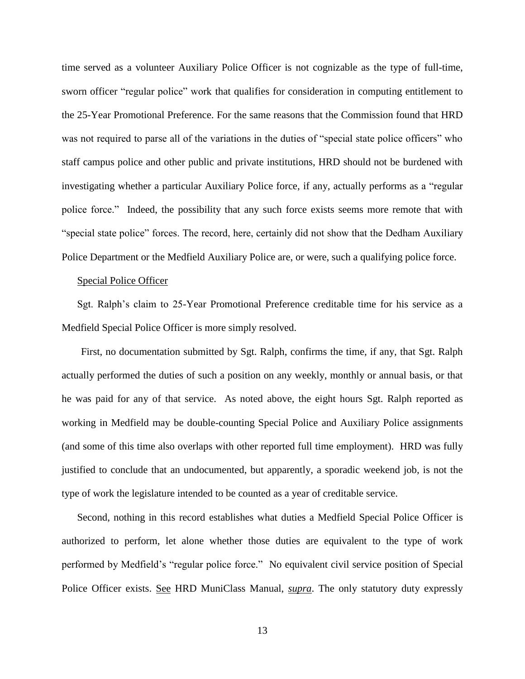time served as a volunteer Auxiliary Police Officer is not cognizable as the type of full-time, sworn officer "regular police" work that qualifies for consideration in computing entitlement to the 25-Year Promotional Preference. For the same reasons that the Commission found that HRD was not required to parse all of the variations in the duties of "special state police officers" who staff campus police and other public and private institutions, HRD should not be burdened with investigating whether a particular Auxiliary Police force, if any, actually performs as a "regular police force." Indeed, the possibility that any such force exists seems more remote that with "special state police" forces. The record, here, certainly did not show that the Dedham Auxiliary Police Department or the Medfield Auxiliary Police are, or were, such a qualifying police force.

### Special Police Officer

Sgt. Ralph's claim to 25-Year Promotional Preference creditable time for his service as a Medfield Special Police Officer is more simply resolved.

First, no documentation submitted by Sgt. Ralph, confirms the time, if any, that Sgt. Ralph actually performed the duties of such a position on any weekly, monthly or annual basis, or that he was paid for any of that service. As noted above, the eight hours Sgt. Ralph reported as working in Medfield may be double-counting Special Police and Auxiliary Police assignments (and some of this time also overlaps with other reported full time employment). HRD was fully justified to conclude that an undocumented, but apparently, a sporadic weekend job, is not the type of work the legislature intended to be counted as a year of creditable service.

Second, nothing in this record establishes what duties a Medfield Special Police Officer is authorized to perform, let alone whether those duties are equivalent to the type of work performed by Medfield's "regular police force." No equivalent civil service position of Special Police Officer exists. See HRD MuniClass Manual, *supra*. The only statutory duty expressly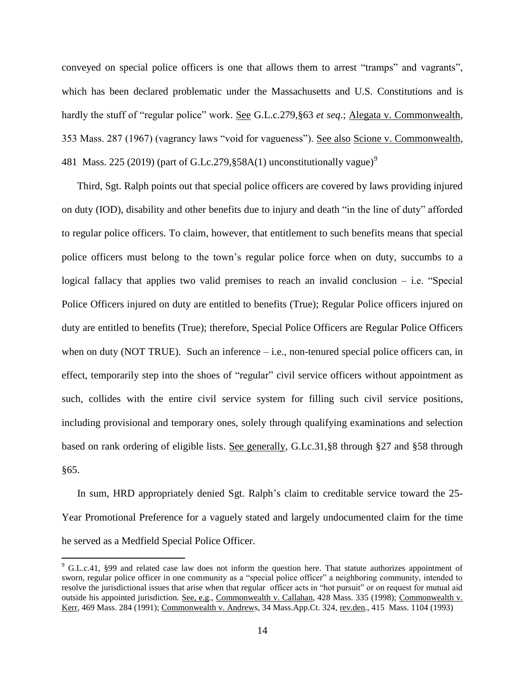conveyed on special police officers is one that allows them to arrest "tramps" and vagrants", which has been declared problematic under the Massachusetts and U.S. Constitutions and is hardly the stuff of "regular police" work. See G.L.c.279,§63 *et seq*.; Alegata v. Commonwealth, 353 Mass. 287 (1967) (vagrancy laws "void for vagueness"). See also Scione v. Commonwealth, 481 Mass. 225 (2019) (part of G.Lc.279, §58A(1) unconstitutionally vague)<sup>9</sup>

Third, Sgt. Ralph points out that special police officers are covered by laws providing injured on duty (IOD), disability and other benefits due to injury and death "in the line of duty" afforded to regular police officers. To claim, however, that entitlement to such benefits means that special police officers must belong to the town's regular police force when on duty, succumbs to a logical fallacy that applies two valid premises to reach an invalid conclusion  $-$  i.e. "Special Police Officers injured on duty are entitled to benefits (True); Regular Police officers injured on duty are entitled to benefits (True); therefore, Special Police Officers are Regular Police Officers when on duty (NOT TRUE). Such an inference – i.e., non-tenured special police officers can, in effect, temporarily step into the shoes of "regular" civil service officers without appointment as such, collides with the entire civil service system for filling such civil service positions, including provisional and temporary ones, solely through qualifying examinations and selection based on rank ordering of eligible lists. See generally, G.Lc.31,§8 through §27 and §58 through §65.

In sum, HRD appropriately denied Sgt. Ralph's claim to creditable service toward the 25- Year Promotional Preference for a vaguely stated and largely undocumented claim for the time he served as a Medfield Special Police Officer.

 $\overline{a}$ 

<sup>&</sup>lt;sup>9</sup> G.L.c.41, §99 and related case law does not inform the question here. That statute authorizes appointment of sworn, regular police officer in one community as a "special police officer" a neighboring community, intended to resolve the jurisdictional issues that arise when that regular officer acts in "hot pursuit" or on request for mutual aid outside his appointed jurisdiction. See, e.g., Commonwealth v. Callahan, 428 Mass. 335 (1998); Commonwealth v. Kerr, 469 Mass. 284 (1991); Commonwealth v. Andrews, 34 Mass.App.Ct. 324, rev.den., 415 Mass. 1104 (1993)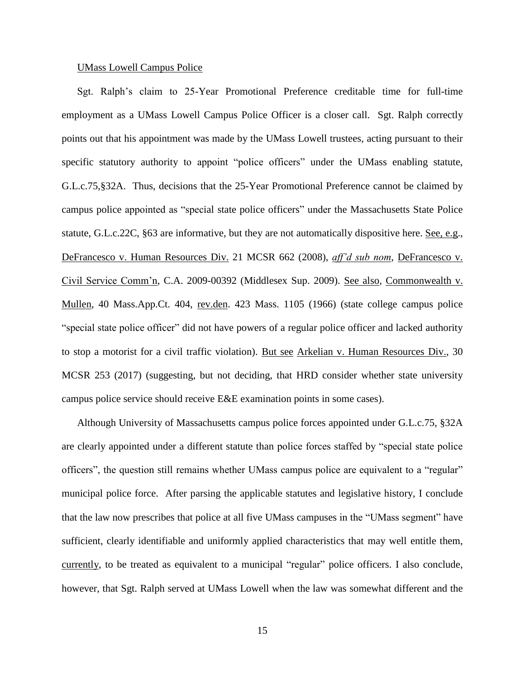### UMass Lowell Campus Police

Sgt. Ralph's claim to 25-Year Promotional Preference creditable time for full-time employment as a UMass Lowell Campus Police Officer is a closer call. Sgt. Ralph correctly points out that his appointment was made by the UMass Lowell trustees, acting pursuant to their specific statutory authority to appoint "police officers" under the UMass enabling statute, G.L.c.75,§32A. Thus, decisions that the 25-Year Promotional Preference cannot be claimed by campus police appointed as "special state police officers" under the Massachusetts State Police statute, G.L.c.22C, §63 are informative, but they are not automatically dispositive here. See, e.g., DeFrancesco v. Human Resources Div. 21 MCSR 662 (2008), *aff'd sub nom*, DeFrancesco v. Civil Service Comm'n, C.A. 2009-00392 (Middlesex Sup. 2009). See also, Commonwealth v. Mullen, 40 Mass.App.Ct. 404, rev.den. 423 Mass. 1105 (1966) (state college campus police "special state police officer" did not have powers of a regular police officer and lacked authority to stop a motorist for a civil traffic violation). But see Arkelian v. Human Resources Div., 30 MCSR 253 (2017) (suggesting, but not deciding, that HRD consider whether state university campus police service should receive E&E examination points in some cases).

Although University of Massachusetts campus police forces appointed under G.L.c.75, §32A are clearly appointed under a different statute than police forces staffed by "special state police officers", the question still remains whether UMass campus police are equivalent to a "regular" municipal police force. After parsing the applicable statutes and legislative history, I conclude that the law now prescribes that police at all five UMass campuses in the "UMass segment" have sufficient, clearly identifiable and uniformly applied characteristics that may well entitle them, currently, to be treated as equivalent to a municipal "regular" police officers. I also conclude, however, that Sgt. Ralph served at UMass Lowell when the law was somewhat different and the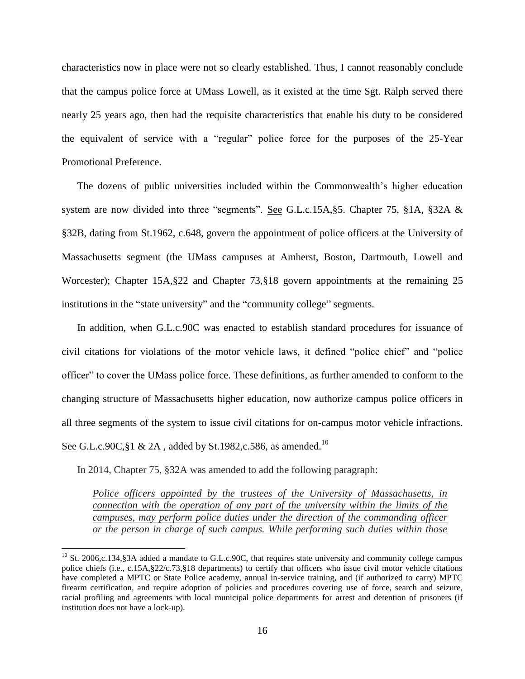characteristics now in place were not so clearly established. Thus, I cannot reasonably conclude that the campus police force at UMass Lowell, as it existed at the time Sgt. Ralph served there nearly 25 years ago, then had the requisite characteristics that enable his duty to be considered the equivalent of service with a "regular" police force for the purposes of the 25-Year Promotional Preference.

The dozens of public universities included within the Commonwealth's higher education system are now divided into three "segments". See G.L.c.15A,§5. Chapter 75, §1A, §32A & §32B, dating from St.1962, c.648, govern the appointment of police officers at the University of Massachusetts segment (the UMass campuses at Amherst, Boston, Dartmouth, Lowell and Worcester); Chapter 15A,§22 and Chapter 73,§18 govern appointments at the remaining 25 institutions in the "state university" and the "community college" segments.

In addition, when G.L.c.90C was enacted to establish standard procedures for issuance of civil citations for violations of the motor vehicle laws, it defined "police chief" and "police officer" to cover the UMass police force. These definitions, as further amended to conform to the changing structure of Massachusetts higher education, now authorize campus police officers in all three segments of the system to issue civil citations for on-campus motor vehicle infractions. <u>See</u> G.L.c.90C,§1 & 2A , added by St.1982,c.586, as amended.<sup>10</sup>

In 2014, Chapter 75, §32A was amended to add the following paragraph:

 $\overline{a}$ 

*Police officers appointed by the trustees of the University of Massachusetts, in connection with the operation of any part of the university within the limits of the campuses, may perform police duties under the direction of the commanding officer or the person in charge of such campus. While performing such duties within those* 

 $10$  St. 2006,c.134, §3A added a mandate to G.L.c.90C, that requires state university and community college campus police chiefs (i.e., c.15A,§22/c.73,§18 departments) to certify that officers who issue civil motor vehicle citations have completed a MPTC or State Police academy, annual in-service training, and (if authorized to carry) MPTC firearm certification, and require adoption of policies and procedures covering use of force, search and seizure, racial profiling and agreements with local municipal police departments for arrest and detention of prisoners (if institution does not have a lock-up).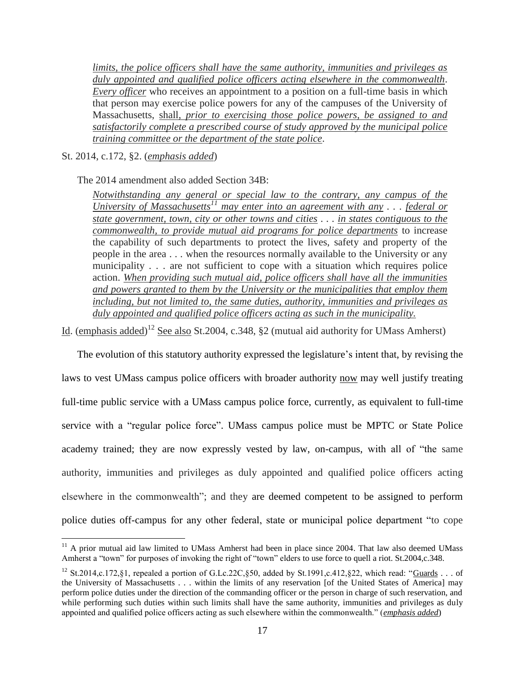*limits, the police officers shall have the same authority, immunities and privileges as duly appointed and qualified police officers acting elsewhere in the commonwealth*. *Every officer* who receives an appointment to a position on a full-time basis in which that person may exercise police powers for any of the campuses of the University of Massachusetts, shall, *prior to exercising those police powers, be assigned to and satisfactorily complete a prescribed course of study approved by the municipal police training committee or the department of the state police*.

## St. 2014, c.172, §2. (*emphasis added*)

 $\overline{a}$ 

The 2014 amendment also added Section 34B:

*Notwithstanding any general or special law to the contrary, any campus of the University of Massachusetts<sup>11</sup> may enter into an agreement with any . . . federal or state government, town, city or other towns and cities . . . in states contiguous to the commonwealth, to provide mutual aid programs for police departments* to increase the capability of such departments to protect the lives, safety and property of the people in the area . . . when the resources normally available to the University or any municipality . . . are not sufficient to cope with a situation which requires police action. *When providing such mutual aid, police officers shall have all the immunities and powers granted to them by the University or the municipalities that employ them including, but not limited to, the same duties, authority, immunities and privileges as duly appointed and qualified police officers acting as such in the municipality.*

Id. (emphasis added)<sup>12</sup> See also St.2004, c.348, §2 (mutual aid authority for UMass Amherst)

The evolution of this statutory authority expressed the legislature's intent that, by revising the laws to vest UMass campus police officers with broader authority now may well justify treating full-time public service with a UMass campus police force, currently, as equivalent to full-time service with a "regular police force". UMass campus police must be MPTC or State Police academy trained; they are now expressly vested by law, on-campus, with all of "the same authority, immunities and privileges as duly appointed and qualified police officers acting elsewhere in the commonwealth"; and they are deemed competent to be assigned to perform police duties off-campus for any other federal, state or municipal police department "to cope

 $11$  A prior mutual aid law limited to UMass Amherst had been in place since 2004. That law also deemed UMass Amherst a "town" for purposes of invoking the right of "town" elders to use force to quell a riot. St.2004,c.348.

<sup>&</sup>lt;sup>12</sup> St.2014,c.172, §1, repealed a portion of G.Lc.22C, §50, added by St.1991,c.412, §22, which read: "Guards . . . of the University of Massachusetts . . . within the limits of any reservation [of the United States of America] may perform police duties under the direction of the commanding officer or the person in charge of such reservation, and while performing such duties within such limits shall have the same authority, immunities and privileges as duly appointed and qualified police officers acting as such elsewhere within the commonwealth." (*emphasis added*)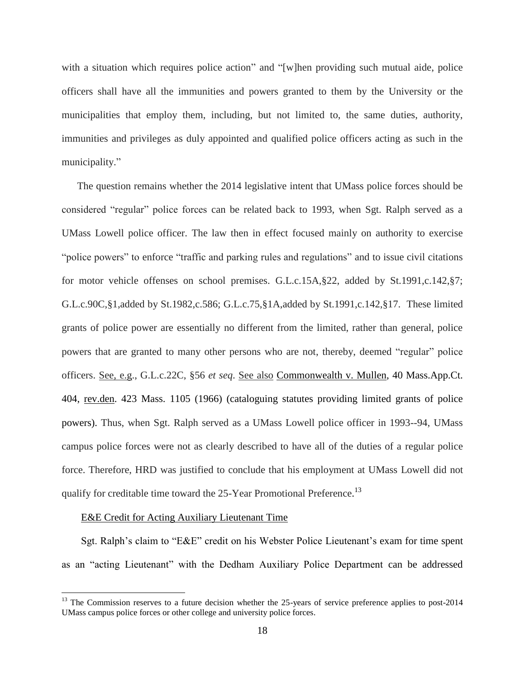with a situation which requires police action" and "[w]hen providing such mutual aide, police officers shall have all the immunities and powers granted to them by the University or the municipalities that employ them, including, but not limited to, the same duties, authority, immunities and privileges as duly appointed and qualified police officers acting as such in the municipality."

The question remains whether the 2014 legislative intent that UMass police forces should be considered "regular" police forces can be related back to 1993, when Sgt. Ralph served as a UMass Lowell police officer. The law then in effect focused mainly on authority to exercise "police powers" to enforce "traffic and parking rules and regulations" and to issue civil citations for motor vehicle offenses on school premises. G.L.c.15A, §22, added by St.1991,c.142, §7; G.L.c.90C,§1,added by St.1982,c.586; G.L.c.75,§1A,added by St.1991,c.142,§17. These limited grants of police power are essentially no different from the limited, rather than general, police powers that are granted to many other persons who are not, thereby, deemed "regular" police officers. See, e.g., G.L.c.22C, §56 *et seq*. See also Commonwealth v. Mullen, 40 Mass.App.Ct. 404, rev.den. 423 Mass. 1105 (1966) (cataloguing statutes providing limited grants of police powers). Thus, when Sgt. Ralph served as a UMass Lowell police officer in 1993--94, UMass campus police forces were not as clearly described to have all of the duties of a regular police force. Therefore, HRD was justified to conclude that his employment at UMass Lowell did not qualify for creditable time toward the 25-Year Promotional Preference.<sup>13</sup>

# E&E Credit for Acting Auxiliary Lieutenant Time

 $\overline{a}$ 

Sgt. Ralph's claim to "E&E" credit on his Webster Police Lieutenant's exam for time spent as an "acting Lieutenant" with the Dedham Auxiliary Police Department can be addressed

 $13$  The Commission reserves to a future decision whether the 25-years of service preference applies to post-2014 UMass campus police forces or other college and university police forces.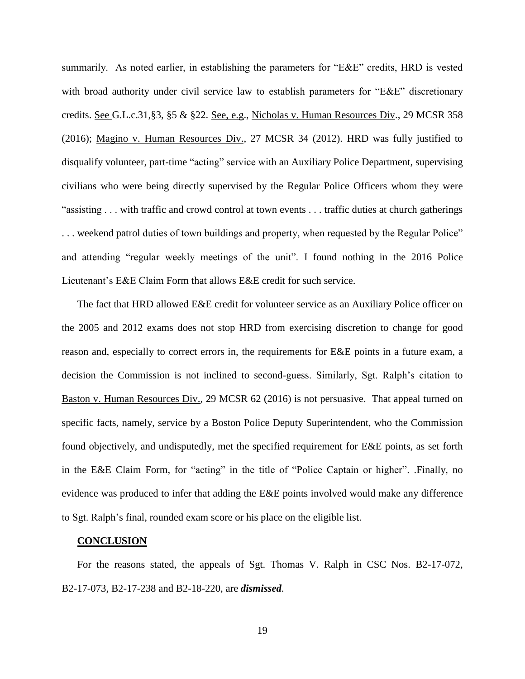summarily. As noted earlier, in establishing the parameters for "E&E" credits, HRD is vested with broad authority under civil service law to establish parameters for "E&E" discretionary credits. See G.L.c.31,§3, §5 & §22. See, e.g., Nicholas v. Human Resources Div., 29 MCSR 358 (2016); Magino v. Human Resources Div., 27 MCSR 34 (2012). HRD was fully justified to disqualify volunteer, part-time "acting" service with an Auxiliary Police Department, supervising civilians who were being directly supervised by the Regular Police Officers whom they were "assisting . . . with traffic and crowd control at town events . . . traffic duties at church gatherings . . . weekend patrol duties of town buildings and property, when requested by the Regular Police" and attending "regular weekly meetings of the unit". I found nothing in the 2016 Police Lieutenant's E&E Claim Form that allows E&E credit for such service.

The fact that HRD allowed E&E credit for volunteer service as an Auxiliary Police officer on the 2005 and 2012 exams does not stop HRD from exercising discretion to change for good reason and, especially to correct errors in, the requirements for E&E points in a future exam, a decision the Commission is not inclined to second-guess. Similarly, Sgt. Ralph's citation to Baston v. Human Resources Div., 29 MCSR 62 (2016) is not persuasive. That appeal turned on specific facts, namely, service by a Boston Police Deputy Superintendent, who the Commission found objectively, and undisputedly, met the specified requirement for E&E points, as set forth in the E&E Claim Form, for "acting" in the title of "Police Captain or higher". .Finally, no evidence was produced to infer that adding the E&E points involved would make any difference to Sgt. Ralph's final, rounded exam score or his place on the eligible list.

#### **CONCLUSION**

For the reasons stated, the appeals of Sgt. Thomas V. Ralph in CSC Nos. B2-17-072, B2-17-073, B2-17-238 and B2-18-220, are *dismissed*.